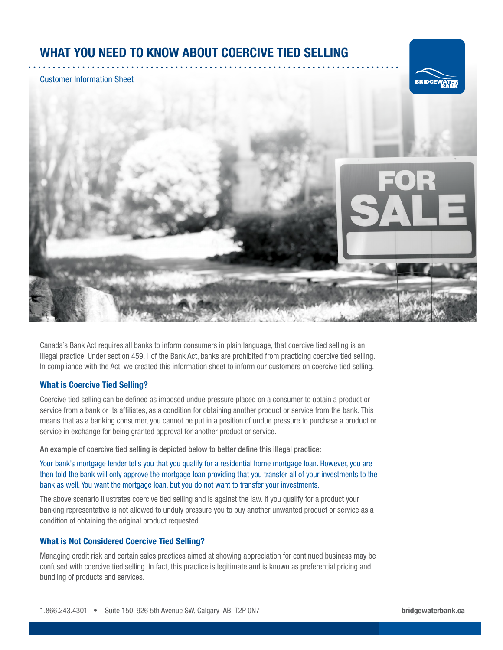# WHAT YOU NEED TO KNOW ABOUT COERCIVE TIED SELLING

#### Customer Information Sheet





Canada's Bank Act requires all banks to inform consumers in plain language, that coercive tied selling is an illegal practice. Under section 459.1 of the Bank Act, banks are prohibited from practicing coercive tied selling. In compliance with the Act, we created this information sheet to inform our customers on coercive tied selling.

## What is Coercive Tied Selling?

Coercive tied selling can be defined as imposed undue pressure placed on a consumer to obtain a product or service from a bank or its affiliates, as a condition for obtaining another product or service from the bank. This means that as a banking consumer, you cannot be put in a position of undue pressure to purchase a product or service in exchange for being granted approval for another product or service.

An example of coercive tied selling is depicted below to better define this illegal practice:

Your bank's mortgage lender tells you that you qualify for a residential home mortgage loan. However, you are then told the bank will only approve the mortgage loan providing that you transfer all of your investments to the bank as well. You want the mortgage loan, but you do not want to transfer your investments.

The above scenario illustrates coercive tied selling and is against the law. If you qualify for a product your banking representative is not allowed to unduly pressure you to buy another unwanted product or service as a condition of obtaining the original product requested.

# What is Not Considered Coercive Tied Selling?

Managing credit risk and certain sales practices aimed at showing appreciation for continued business may be confused with coercive tied selling. In fact, this practice is legitimate and is known as preferential pricing and bundling of products and services.